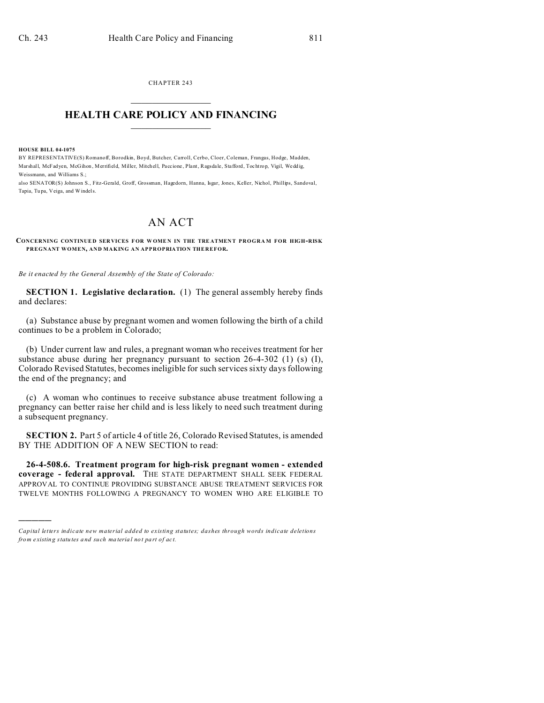CHAPTER 243  $\overline{\phantom{a}}$  , where  $\overline{\phantom{a}}$ 

## **HEALTH CARE POLICY AND FINANCING**  $\_$   $\_$   $\_$   $\_$   $\_$   $\_$   $\_$   $\_$

**HOUSE BILL 04-1075**

)))))

BY REPRESENTATIVE(S) Romanoff, Borodkin, Boyd, Butcher, Carroll, Cerbo, Cloer, Coleman, Frangas, Hodge, Madden, Marshall, McFadyen, McGihon , Merrifield, Miller, Mitchell, Paccione , Plant, Ragsda le, Stafford, Tochtrop, Vigil, Wedd ig, Weissmann, and Williams S.;

also SENATOR(S) Johnson S., Fitz-Gerald, Groff, Grossman, Hagedorn, Hanna, Isgar, Jones, Keller, Nichol, Phillips, Sandoval, Tapia, Tu pa, Veiga, and Windels.

## AN ACT

## **CONCERNING CONTINUE D SER VICES FOR W OME N IN THE TRE ATMEN T PROGRA M FOR HIGH-RISK PREGNANT WOMEN, AND MAKING AN APPROPRIATION THEREFOR.**

*Be it enacted by the General Assembly of the State of Colorado:*

**SECTION 1. Legislative declaration.** (1) The general assembly hereby finds and declares:

(a) Substance abuse by pregnant women and women following the birth of a child continues to be a problem in Colorado;

(b) Under current law and rules, a pregnant woman who receives treatment for her substance abuse during her pregnancy pursuant to section 26-4-302 (1) (s) (I), Colorado Revised Statutes, becomes ineligible for such services sixty days following the end of the pregnancy; and

(c) A woman who continues to receive substance abuse treatment following a pregnancy can better raise her child and is less likely to need such treatment during a subsequent pregnancy.

**SECTION 2.** Part 5 of article 4 of title 26, Colorado Revised Statutes, is amended BY THE ADDITION OF A NEW SECTION to read:

**26-4-508.6. Treatment program for high-risk pregnant women - extended coverage - federal approval.** THE STATE DEPARTMENT SHALL SEEK FEDERAL APPROVAL TO CONTINUE PROVIDING SUBSTANCE ABUSE TREATMENT SERVICES FOR TWELVE MONTHS FOLLOWING A PREGNANCY TO WOMEN WHO ARE ELIGIBLE TO

*Capital letters indicate new material added to existing statutes; dashes through words indicate deletions from e xistin g statu tes a nd such ma teria l no t pa rt of ac t.*